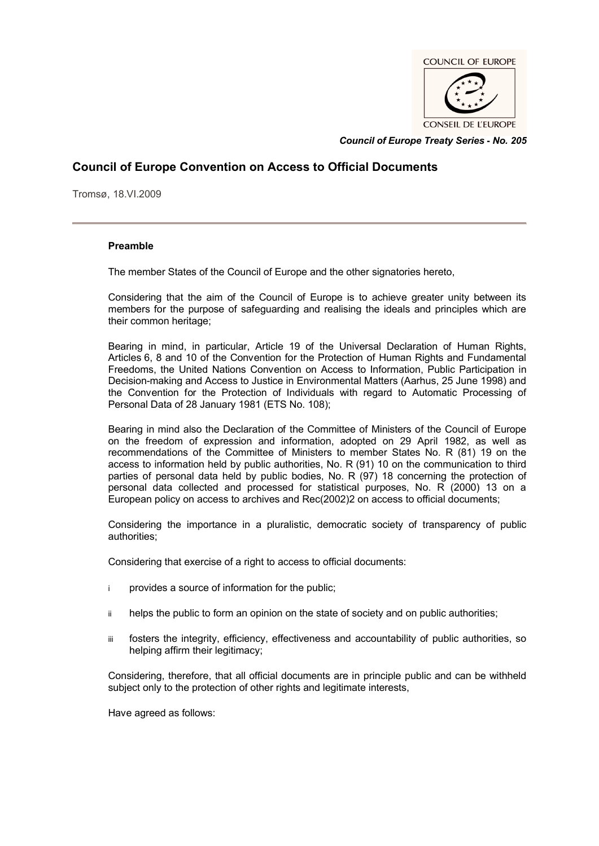

*Council of Europe Treaty Series* **-** *No. 205*

# **Council of Europe Convention on Access to Official Documents**

Tromsø, 18.VI.2009

# **Preamble**

The member States of the Council of Europe and the other signatories hereto,

Considering that the aim of the Council of Europe is to achieve greater unity between its members for the purpose of safeguarding and realising the ideals and principles which are their common heritage;

Bearing in mind, in particular, Article 19 of the Universal Declaration of Human Rights, Articles 6, 8 and 10 of the Convention for the Protection of Human Rights and Fundamental Freedoms, the United Nations Convention on Access to Information, Public Participation in Decision-making and Access to Justice in Environmental Matters (Aarhus, 25 June 1998) and the Convention for the Protection of Individuals with regard to Automatic Processing of Personal Data of 28 January 1981 (ETS No. 108);

Bearing in mind also the Declaration of the Committee of Ministers of the Council of Europe on the freedom of expression and information, adopted on 29 April 1982, as well as recommendations of the Committee of Ministers to member States No. R (81) 19 on the access to information held by public authorities, No. R (91) 10 on the communication to third parties of personal data held by public bodies, No. R (97) 18 concerning the protection of personal data collected and processed for statistical purposes, No. R (2000) 13 on a European policy on access to archives and Rec(2002)2 on access to official documents;

Considering the importance in a pluralistic, democratic society of transparency of public authorities;

Considering that exercise of a right to access to official documents:

- i provides a source of information for the public;
- ii helps the public to form an opinion on the state of society and on public authorities;
- iii fosters the integrity, efficiency, effectiveness and accountability of public authorities, so helping affirm their legitimacy;

Considering, therefore, that all official documents are in principle public and can be withheld subject only to the protection of other rights and legitimate interests.

Have agreed as follows: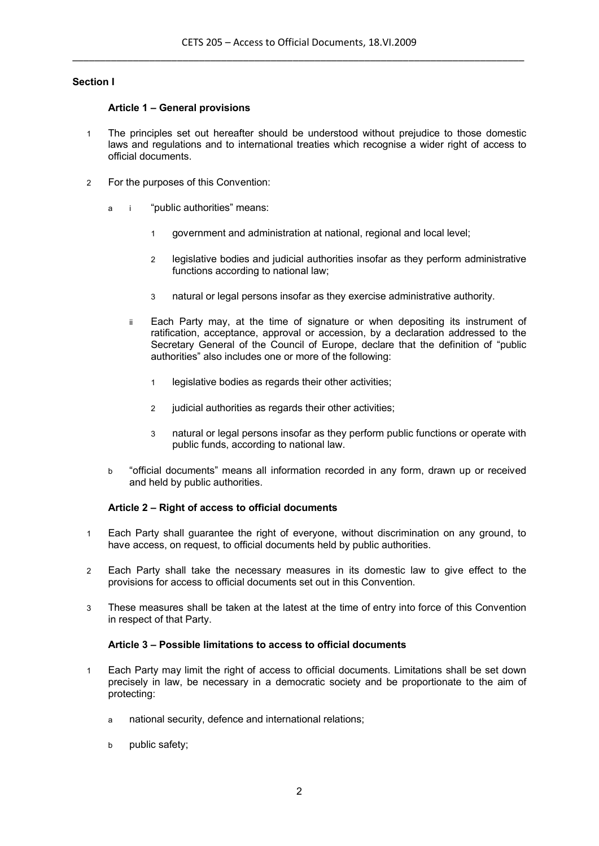# **Section I**

## **Article 1 – General provisions**

- 1 The principles set out hereafter should be understood without prejudice to those domestic laws and regulations and to international treaties which recognise a wider right of access to official documents.
- 2 For the purposes of this Convention:
	- a i "public authorities" means:
		- 1 government and administration at national, regional and local level;
		- 2 legislative bodies and judicial authorities insofar as they perform administrative functions according to national law;
		- 3 natural or legal persons insofar as they exercise administrative authority.
		- ii Each Party may, at the time of signature or when depositing its instrument of ratification, acceptance, approval or accession, by a declaration addressed to the Secretary General of the Council of Europe, declare that the definition of "public authorities" also includes one or more of the following:
			- 1 legislative bodies as regards their other activities;
			- 2 judicial authorities as regards their other activities;
			- 3 natural or legal persons insofar as they perform public functions or operate with public funds, according to national law.
	- b "official documents" means all information recorded in any form, drawn up or received and held by public authorities.

# **Article 2 – Right of access to official documents**

- 1 Each Party shall guarantee the right of everyone, without discrimination on any ground, to have access, on request, to official documents held by public authorities.
- 2 Each Party shall take the necessary measures in its domestic law to give effect to the provisions for access to official documents set out in this Convention.
- 3 These measures shall be taken at the latest at the time of entry into force of this Convention in respect of that Party.

# **Article 3 – Possible limitations to access to official documents**

- 1 Each Party may limit the right of access to official documents. Limitations shall be set down precisely in law, be necessary in a democratic society and be proportionate to the aim of protecting:
	- a national security, defence and international relations;
	- b public safety: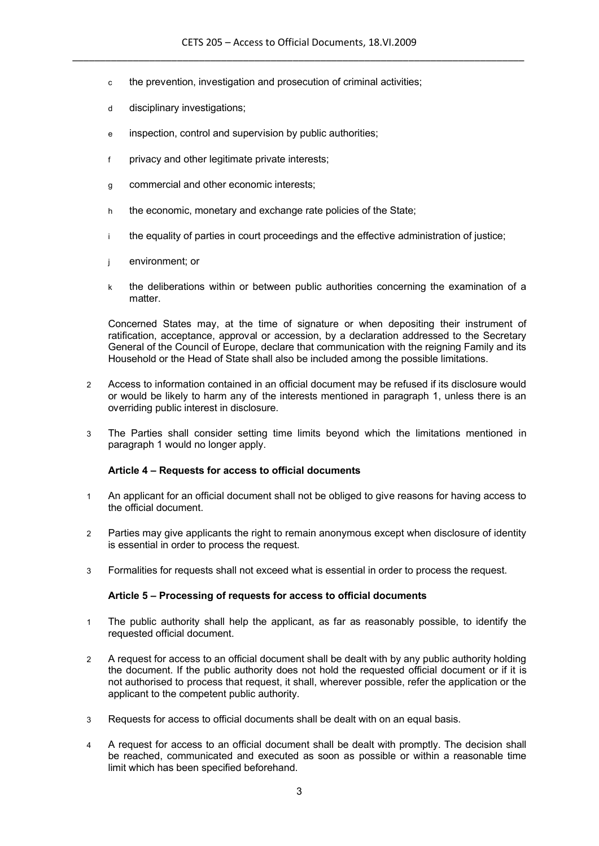- c the prevention, investigation and prosecution of criminal activities;
- d disciplinary investigations;
- e inspection, control and supervision by public authorities;
- f privacy and other legitimate private interests;
- g commercial and other economic interests;
- h the economic, monetary and exchange rate policies of the State;
- i the equality of parties in court proceedings and the effective administration of justice;
- j environment; or
- k the deliberations within or between public authorities concerning the examination of a matter.

Concerned States may, at the time of signature or when depositing their instrument of ratification, acceptance, approval or accession, by a declaration addressed to the Secretary General of the Council of Europe, declare that communication with the reigning Family and its Household or the Head of State shall also be included among the possible limitations.

- 2 Access to information contained in an official document may be refused if its disclosure would or would be likely to harm any of the interests mentioned in paragraph 1, unless there is an overriding public interest in disclosure.
- 3 The Parties shall consider setting time limits beyond which the limitations mentioned in paragraph 1 would no longer apply.

# **Article 4 – Requests for access to official documents**

- 1 An applicant for an official document shall not be obliged to give reasons for having access to the official document.
- 2 Parties may give applicants the right to remain anonymous except when disclosure of identity is essential in order to process the request.
- 3 Formalities for requests shall not exceed what is essential in order to process the request.

#### **Article 5 – Processing of requests for access to official documents**

- 1 The public authority shall help the applicant, as far as reasonably possible, to identify the requested official document.
- 2 A request for access to an official document shall be dealt with by any public authority holding the document. If the public authority does not hold the requested official document or if it is not authorised to process that request, it shall, wherever possible, refer the application or the applicant to the competent public authority.
- 3 Requests for access to official documents shall be dealt with on an equal basis.
- 4 A request for access to an official document shall be dealt with promptly. The decision shall be reached, communicated and executed as soon as possible or within a reasonable time limit which has been specified beforehand.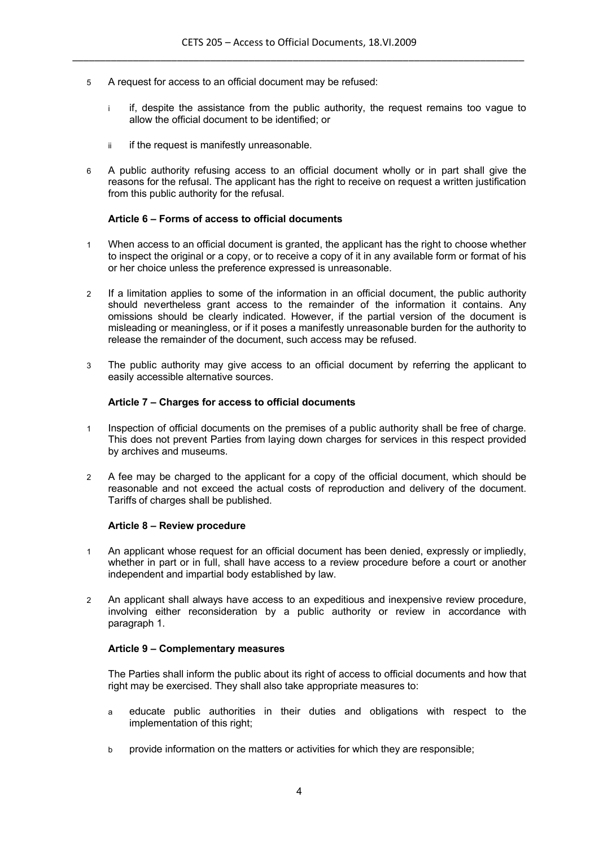- 5 A request for access to an official document may be refused:
	- i if, despite the assistance from the public authority, the request remains too vague to allow the official document to be identified; or
	- ii if the request is manifestly unreasonable.
- 6 A public authority refusing access to an official document wholly or in part shall give the reasons for the refusal. The applicant has the right to receive on request a written justification from this public authority for the refusal.

## **Article 6 – Forms of access to official documents**

- 1 When access to an official document is granted, the applicant has the right to choose whether to inspect the original or a copy, or to receive a copy of it in any available form or format of his or her choice unless the preference expressed is unreasonable.
- 2 If a limitation applies to some of the information in an official document, the public authority should nevertheless grant access to the remainder of the information it contains. Any omissions should be clearly indicated. However, if the partial version of the document is misleading or meaningless, or if it poses a manifestly unreasonable burden for the authority to release the remainder of the document, such access may be refused.
- 3 The public authority may give access to an official document by referring the applicant to easily accessible alternative sources.

## **Article 7 – Charges for access to official documents**

- 1 Inspection of official documents on the premises of a public authority shall be free of charge. This does not prevent Parties from laying down charges for services in this respect provided by archives and museums.
- 2 A fee may be charged to the applicant for a copy of the official document, which should be reasonable and not exceed the actual costs of reproduction and delivery of the document. Tariffs of charges shall be published.

#### **Article 8 – Review procedure**

- 1 An applicant whose request for an official document has been denied, expressly or impliedly, whether in part or in full, shall have access to a review procedure before a court or another independent and impartial body established by law.
- 2 An applicant shall always have access to an expeditious and inexpensive review procedure, involving either reconsideration by a public authority or review in accordance with paragraph 1.

# **Article 9 – Complementary measures**

The Parties shall inform the public about its right of access to official documents and how that right may be exercised. They shall also take appropriate measures to:

- a educate public authorities in their duties and obligations with respect to the implementation of this right;
- b provide information on the matters or activities for which they are responsible;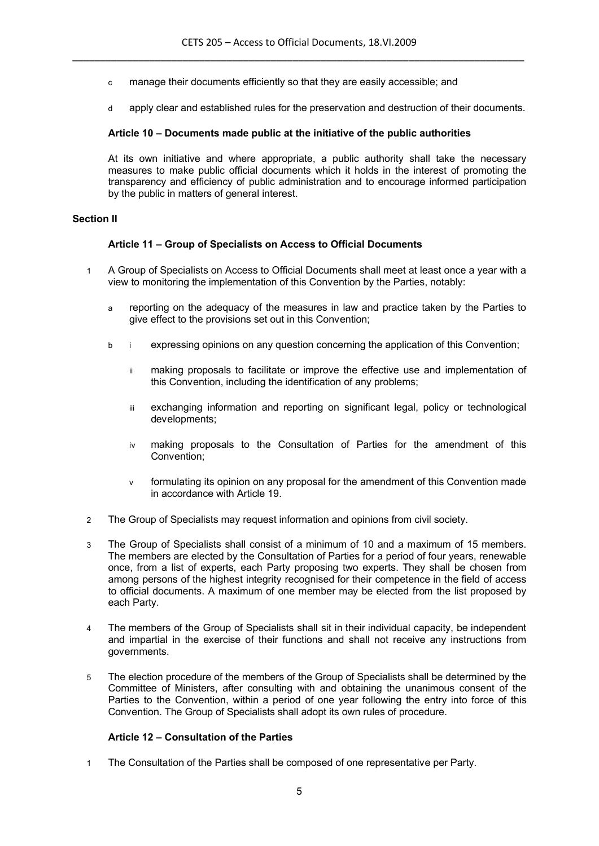- c manage their documents efficiently so that they are easily accessible; and
- d apply clear and established rules for the preservation and destruction of their documents.

#### **Article 10 – Documents made public at the initiative of the public authorities**

At its own initiative and where appropriate, a public authority shall take the necessary measures to make public official documents which it holds in the interest of promoting the transparency and efficiency of public administration and to encourage informed participation by the public in matters of general interest.

## **Section II**

## **Article 11 – Group of Specialists on Access to Official Documents**

- 1 A Group of Specialists on Access to Official Documents shall meet at least once a year with a view to monitoring the implementation of this Convention by the Parties, notably:
	- a reporting on the adequacy of the measures in law and practice taken by the Parties to give effect to the provisions set out in this Convention;
	- b i expressing opinions on any question concerning the application of this Convention;
		- ii making proposals to facilitate or improve the effective use and implementation of this Convention, including the identification of any problems;
		- iii exchanging information and reporting on significant legal, policy or technological developments;
		- iv making proposals to the Consultation of Parties for the amendment of this Convention;
		- formulating its opinion on any proposal for the amendment of this Convention made in accordance with Article 19.
- 2 The Group of Specialists may request information and opinions from civil society.
- 3 The Group of Specialists shall consist of a minimum of 10 and a maximum of 15 members. The members are elected by the Consultation of Parties for a period of four years, renewable once, from a list of experts, each Party proposing two experts. They shall be chosen from among persons of the highest integrity recognised for their competence in the field of access to official documents. A maximum of one member may be elected from the list proposed by each Party.
- 4 The members of the Group of Specialists shall sit in their individual capacity, be independent and impartial in the exercise of their functions and shall not receive any instructions from governments.
- 5 The election procedure of the members of the Group of Specialists shall be determined by the Committee of Ministers, after consulting with and obtaining the unanimous consent of the Parties to the Convention, within a period of one year following the entry into force of this Convention. The Group of Specialists shall adopt its own rules of procedure.

# **Article 12 – Consultation of the Parties**

1 The Consultation of the Parties shall be composed of one representative per Party.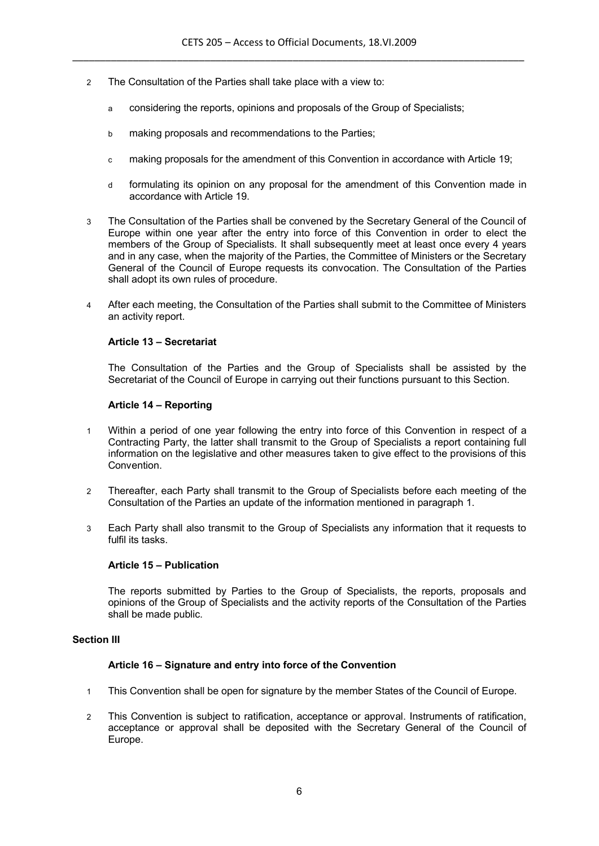- 2 The Consultation of the Parties shall take place with a view to:
	- a considering the reports, opinions and proposals of the Group of Specialists;
	- b making proposals and recommendations to the Parties;
	- c making proposals for the amendment of this Convention in accordance with Article 19;
	- d formulating its opinion on any proposal for the amendment of this Convention made in accordance with Article 19.
- 3 The Consultation of the Parties shall be convened by the Secretary General of the Council of Europe within one year after the entry into force of this Convention in order to elect the members of the Group of Specialists. It shall subsequently meet at least once every 4 years and in any case, when the majority of the Parties, the Committee of Ministers or the Secretary General of the Council of Europe requests its convocation. The Consultation of the Parties shall adopt its own rules of procedure.
- 4 After each meeting, the Consultation of the Parties shall submit to the Committee of Ministers an activity report.

## **Article 13 – Secretariat**

The Consultation of the Parties and the Group of Specialists shall be assisted by the Secretariat of the Council of Europe in carrying out their functions pursuant to this Section.

## **Article 14 – Reporting**

- 1 Within a period of one year following the entry into force of this Convention in respect of a Contracting Party, the latter shall transmit to the Group of Specialists a report containing full information on the legislative and other measures taken to give effect to the provisions of this Convention.
- 2 Thereafter, each Party shall transmit to the Group of Specialists before each meeting of the Consultation of the Parties an update of the information mentioned in paragraph 1.
- 3 Each Party shall also transmit to the Group of Specialists any information that it requests to fulfil its tasks.

#### **Article 15 – Publication**

The reports submitted by Parties to the Group of Specialists, the reports, proposals and opinions of the Group of Specialists and the activity reports of the Consultation of the Parties shall be made public.

#### **Section III**

#### **Article 16 – Signature and entry into force of the Convention**

- 1 This Convention shall be open for signature by the member States of the Council of Europe.
- 2 This Convention is subject to ratification, acceptance or approval. Instruments of ratification, acceptance or approval shall be deposited with the Secretary General of the Council of Europe.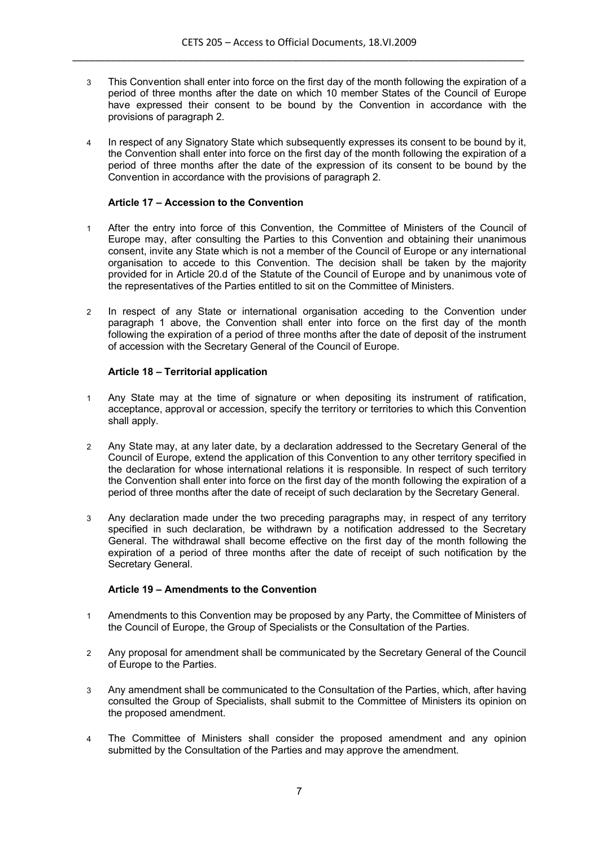- 3 This Convention shall enter into force on the first day of the month following the expiration of a period of three months after the date on which 10 member States of the Council of Europe have expressed their consent to be bound by the Convention in accordance with the provisions of paragraph 2.
- 4 In respect of any Signatory State which subsequently expresses its consent to be bound by it, the Convention shall enter into force on the first day of the month following the expiration of a period of three months after the date of the expression of its consent to be bound by the Convention in accordance with the provisions of paragraph 2.

## **Article 17 – Accession to the Convention**

- 1 After the entry into force of this Convention, the Committee of Ministers of the Council of Europe may, after consulting the Parties to this Convention and obtaining their unanimous consent, invite any State which is not a member of the Council of Europe or any international organisation to accede to this Convention. The decision shall be taken by the majority provided for in Article 20.d of the Statute of the Council of Europe and by unanimous vote of the representatives of the Parties entitled to sit on the Committee of Ministers.
- 2 In respect of any State or international organisation acceding to the Convention under paragraph 1 above, the Convention shall enter into force on the first day of the month following the expiration of a period of three months after the date of deposit of the instrument of accession with the Secretary General of the Council of Europe.

## **Article 18 – Territorial application**

- 1 Any State may at the time of signature or when depositing its instrument of ratification, acceptance, approval or accession, specify the territory or territories to which this Convention shall apply.
- 2 Any State may, at any later date, by a declaration addressed to the Secretary General of the Council of Europe, extend the application of this Convention to any other territory specified in the declaration for whose international relations it is responsible. In respect of such territory the Convention shall enter into force on the first day of the month following the expiration of a period of three months after the date of receipt of such declaration by the Secretary General.
- 3 Any declaration made under the two preceding paragraphs may, in respect of any territory specified in such declaration, be withdrawn by a notification addressed to the Secretary General. The withdrawal shall become effective on the first day of the month following the expiration of a period of three months after the date of receipt of such notification by the Secretary General.

# **Article 19 – Amendments to the Convention**

- 1 Amendments to this Convention may be proposed by any Party, the Committee of Ministers of the Council of Europe, the Group of Specialists or the Consultation of the Parties.
- 2 Any proposal for amendment shall be communicated by the Secretary General of the Council of Europe to the Parties.
- 3 Any amendment shall be communicated to the Consultation of the Parties, which, after having consulted the Group of Specialists, shall submit to the Committee of Ministers its opinion on the proposed amendment.
- 4 The Committee of Ministers shall consider the proposed amendment and any opinion submitted by the Consultation of the Parties and may approve the amendment.